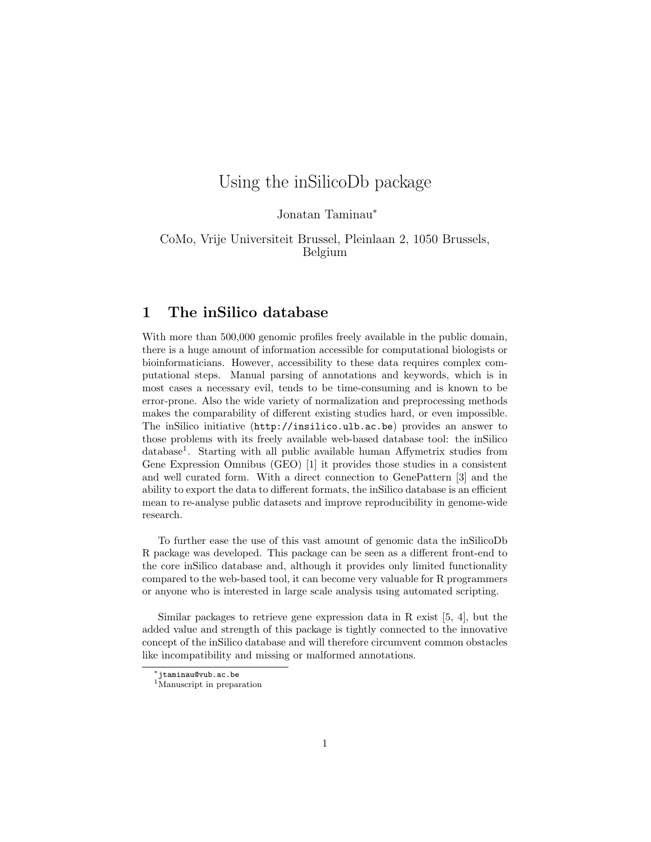# Using the inSilicoDb package

Jonatan Taminau<sup>∗</sup>

CoMo, Vrije Universiteit Brussel, Pleinlaan 2, 1050 Brussels, Belgium

## 1 The inSilico database

With more than 500,000 genomic profiles freely available in the public domain, there is a huge amount of information accessible for computational biologists or bioinformaticians. However, accessibility to these data requires complex computational steps. Manual parsing of annotations and keywords, which is in most cases a necessary evil, tends to be time-consuming and is known to be error-prone. Also the wide variety of normalization and preprocessing methods makes the comparability of different existing studies hard, or even impossible. The inSilico initiative (http://insilico.ulb.ac.be) provides an answer to those problems with its freely available web-based database tool: the inSilico database<sup>1</sup> . Starting with all public available human Affymetrix studies from Gene Expression Omnibus (GEO) [1] it provides those studies in a consistent and well curated form. With a direct connection to GenePattern [3] and the ability to export the data to different formats, the inSilico database is an efficient mean to re-analyse public datasets and improve reproducibility in genome-wide research.

To further ease the use of this vast amount of genomic data the inSilicoDb R package was developed. This package can be seen as a different front-end to the core inSilico database and, although it provides only limited functionality compared to the web-based tool, it can become very valuable for R programmers or anyone who is interested in large scale analysis using automated scripting.

Similar packages to retrieve gene expression data in R exist [5, 4], but the added value and strength of this package is tightly connected to the innovative concept of the inSilico database and will therefore circumvent common obstacles like incompatibility and missing or malformed annotations.

<sup>∗</sup>jtaminau@vub.ac.be

<sup>&</sup>lt;sup>1</sup>Manuscript in preparation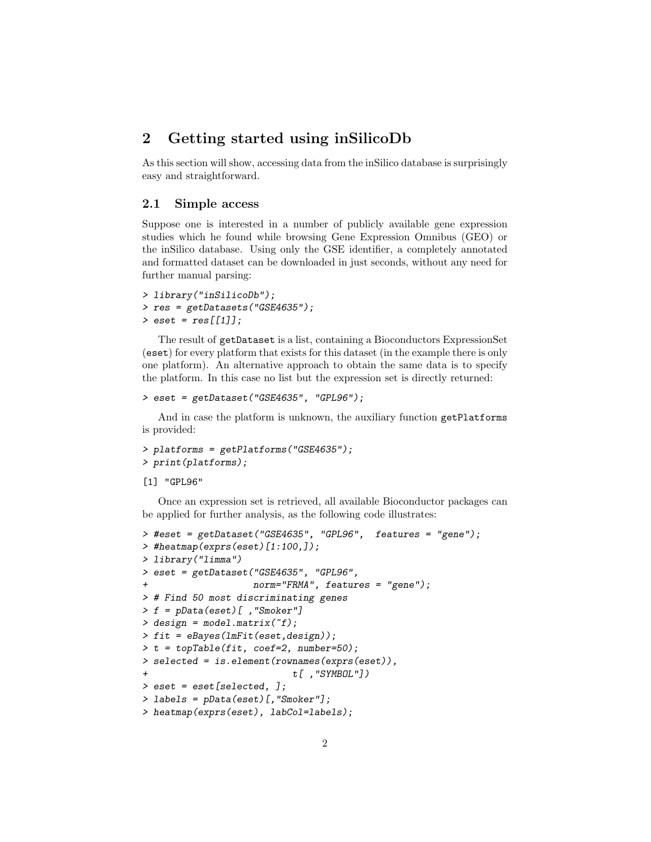### 2 Getting started using inSilicoDb

As this section will show, accessing data from the inSilico database is surprisingly easy and straightforward.

#### 2.1 Simple access

Suppose one is interested in a number of publicly available gene expression studies which he found while browsing Gene Expression Omnibus (GEO) or the inSilico database. Using only the GSE identifier, a completely annotated and formatted dataset can be downloaded in just seconds, without any need for further manual parsing:

```
> library("inSilicoDb");
> res = getDatasets("GSE4635");
> eset = res[[1]];
```
The result of getDataset is a list, containing a Bioconductors ExpressionSet (eset) for every platform that exists for this dataset (in the example there is only one platform). An alternative approach to obtain the same data is to specify the platform. In this case no list but the expression set is directly returned:

```
> eset = getDataset("GSE4635", "GPL96");
```
And in case the platform is unknown, the auxiliary function getPlatforms is provided:

```
> platforms = getPlatforms("GSE4635");
> print(platforms);
```
[1] "GPL96"

Once an expression set is retrieved, all available Bioconductor packages can be applied for further analysis, as the following code illustrates:

```
> #eset = getDataset("GSE4635", "GPL96", features = "gene");
> #heatmap(exprs(eset)[1:100,]);
> library("limma")
> eset = getDataset("GSE4635", "GPL96",
                    norm="FRMA", features = "gene");
> # Find 50 most discriminating genes
> f = pData(eset)[, "Smoker"]
> design = model.matrix(\tilde{f});
> fit = eBayes(lmFit(eset,design));
> t = topTable(fit, coef=2, number=50);> selected = is.element(rownames(exprs(eset)),
                           t[,"SYMBOL"])
> eset = eset[selected, ];
> labels = pData(eset)[,"Smoker"];
> heatmap(exprs(eset), labCol=labels);
```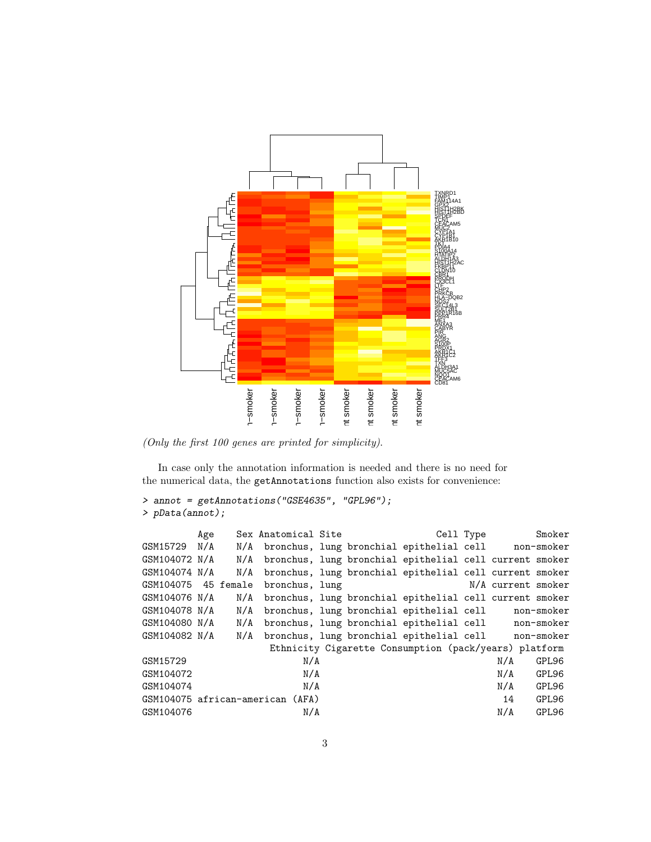

(Only the first 100 genes are printed for simplicity).

In case only the annotation information is needed and there is no need for the numerical data, the getAnnotations function also exists for convenience:

```
> annot = getAnnotations("GSE4635", "GPL96");
> pData(annot);
```

|               | Age | Sex Anatomical Site                |  |                                                                                | Cell Type |                    | Smoker |
|---------------|-----|------------------------------------|--|--------------------------------------------------------------------------------|-----------|--------------------|--------|
|               |     |                                    |  | GSM15729 N/A N/A bronchus, lung bronchial epithelial cell non-smoker           |           |                    |        |
|               |     |                                    |  | GSM104072 N/A M/A bronchus, lung bronchial epithelial cell current smoker      |           |                    |        |
| GSM104074 N/A |     |                                    |  | N/A bronchus, lung bronchial epithelial cell current smoker                    |           |                    |        |
|               |     | GSM104075 45 female bronchus, lung |  |                                                                                |           | N/A current smoker |        |
| GSM104076 N/A |     |                                    |  | N/A bronchus, lung bronchial epithelial cell current smoker                    |           |                    |        |
| GSM104078 N/A |     |                                    |  | N/A bronchus, lung bronchial epithelial cell non-smoker                        |           |                    |        |
|               |     |                                    |  | GSM104080 N/A    N/A    bronchus, lung bronchial epithelial cell    non-smoker |           |                    |        |
|               |     |                                    |  | GSM104082 N/A M/A bronchus, lung bronchial epithelial cell non-smoker          |           |                    |        |
|               |     |                                    |  | Ethnicity Cigarette Consumption (pack/years) platform                          |           |                    |        |
| GSM15729      |     | N/A                                |  |                                                                                |           | N/A                | GPL96  |
| GSM104072     |     | N/A                                |  |                                                                                |           | N/A                | GPL96  |
| GSM104074     |     | N/A                                |  |                                                                                |           | $N/A$ GPL96        |        |
|               |     | GSM104075 african-american (AFA)   |  |                                                                                |           | 14                 | GPL96  |
| GSM104076     |     | N/A                                |  |                                                                                |           | N/A                | GPL96  |
|               |     |                                    |  |                                                                                |           |                    |        |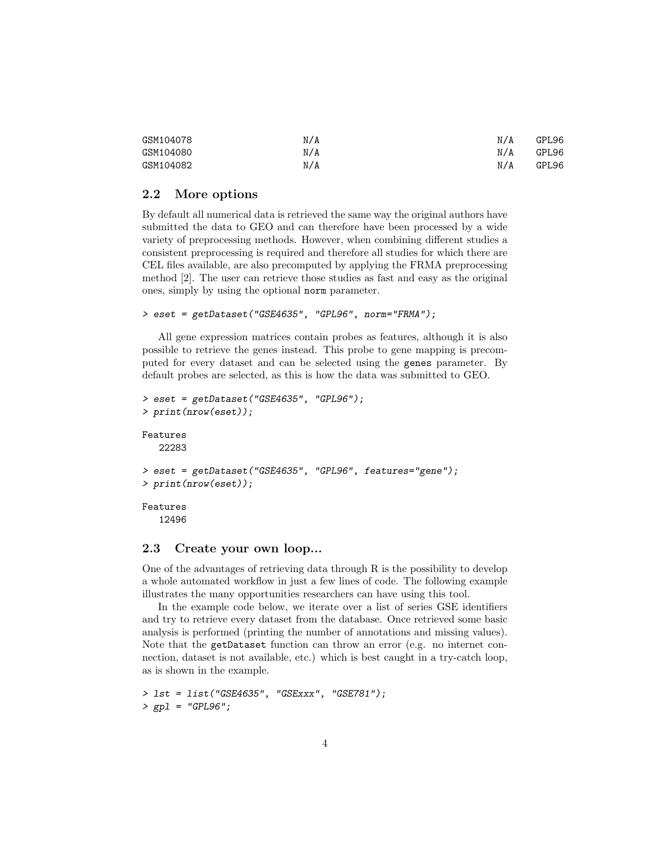| GSM104078 | N/A | N/A | GPL96 |
|-----------|-----|-----|-------|
| GSM104080 | N/A | N/A | GPL96 |
| GSM104082 | N/A | N/A | GPL96 |

#### 2.2 More options

By default all numerical data is retrieved the same way the original authors have submitted the data to GEO and can therefore have been processed by a wide variety of preprocessing methods. However, when combining different studies a consistent preprocessing is required and therefore all studies for which there are CEL files available, are also precomputed by applying the FRMA preprocessing method [2]. The user can retrieve those studies as fast and easy as the original ones, simply by using the optional norm parameter.

> eset = getDataset("GSE4635", "GPL96", norm="FRMA");

All gene expression matrices contain probes as features, although it is also possible to retrieve the genes instead. This probe to gene mapping is precomputed for every dataset and can be selected using the genes parameter. By default probes are selected, as this is how the data was submitted to GEO.

```
> eset = getDataset("GSE4635", "GPL96");
> print(nrow(eset));
Features
   22283
> eset = getDataset("GSE4635", "GPL96", features="gene");
> print(nrow(eset));
Features
   12496
```
#### 2.3 Create your own loop...

One of the advantages of retrieving data through R is the possibility to develop a whole automated workflow in just a few lines of code. The following example illustrates the many opportunities researchers can have using this tool.

In the example code below, we iterate over a list of series GSE identifiers and try to retrieve every dataset from the database. Once retrieved some basic analysis is performed (printing the number of annotations and missing values). Note that the getDataset function can throw an error (e.g. no internet connection, dataset is not available, etc.) which is best caught in a try-catch loop, as is shown in the example.

```
> lst = list("GSE4635", "GSExxx", "GSE781");
> gpl = "GPL96";
```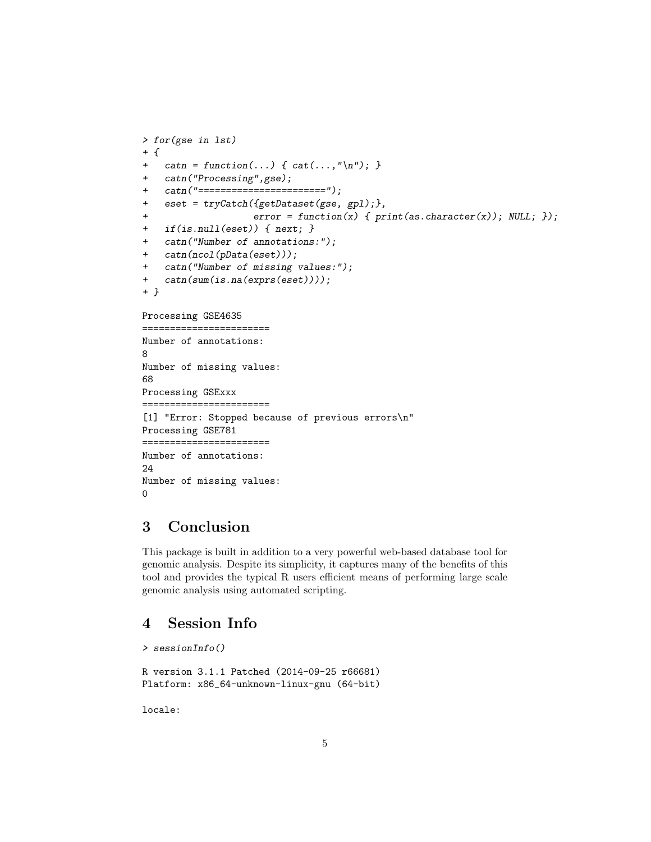```
> for(gse in lst)
+ {
    \text{catn} = \text{function}(\dots) \{ \text{cat}(\dots, \text{``\,n''}); \}+ catn("Processing",gse);
+ catn("=======================");
+ eset = tryCatch({getDataset(gse, gpl);},
                     error = function(x) \{ print(as. character(x)); NULL; \};
+ if(is.null(eset)) { next; }
+ catn("Number of annotations:");
+ catn(ncol(pData(eset)));
   catn("Number of missing values:");
+ catn(sum(is.na(exprs(eset))));
+ }
Processing GSE4635
=======================
Number of annotations:
8
Number of missing values:
68
Processing GSExxx
=======================
[1] "Error: Stopped because of previous errors\n"
Processing GSE781
=======================
Number of annotations:
24
Number of missing values:
0
```
## 3 Conclusion

This package is built in addition to a very powerful web-based database tool for genomic analysis. Despite its simplicity, it captures many of the benefits of this tool and provides the typical R users efficient means of performing large scale genomic analysis using automated scripting.

## 4 Session Info

```
> sessionInfo()
```

```
R version 3.1.1 Patched (2014-09-25 r66681)
Platform: x86_64-unknown-linux-gnu (64-bit)
```
locale: